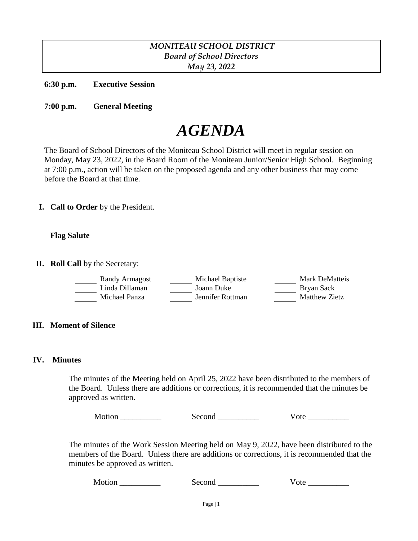## *MONITEAU SCHOOL DISTRICT Board of School Directors May 23, 2022*

**6:30 p.m. Executive Session**

**7:00 p.m. General Meeting**

# *AGENDA*

The Board of School Directors of the Moniteau School District will meet in regular session on Monday, May 23, 2022, in the Board Room of the Moniteau Junior/Senior High School. Beginning at 7:00 p.m., action will be taken on the proposed agenda and any other business that may come before the Board at that time.

**I. Call to Order** by the President.

#### **Flag Salute**

**II. Roll Call** by the Secretary:

| Randy Armagost | Michael Baptiste | Mark DeMatteis |
|----------------|------------------|----------------|
| Linda Dillaman | Joann Duke       | Bryan Sack     |
| Michael Panza  | Jennifer Rottman | Matthew Zietz  |

#### **III. Moment of Silence**

#### **IV. Minutes**

The minutes of the Meeting held on April 25, 2022 have been distributed to the members of the Board. Unless there are additions or corrections, it is recommended that the minutes be approved as written.

Motion \_\_\_\_\_\_\_\_\_\_ Second \_\_\_\_\_\_\_\_\_\_ Vote \_\_\_\_\_\_\_\_\_\_

The minutes of the Work Session Meeting held on May 9, 2022, have been distributed to the members of the Board. Unless there are additions or corrections, it is recommended that the minutes be approved as written.

Motion Second Vote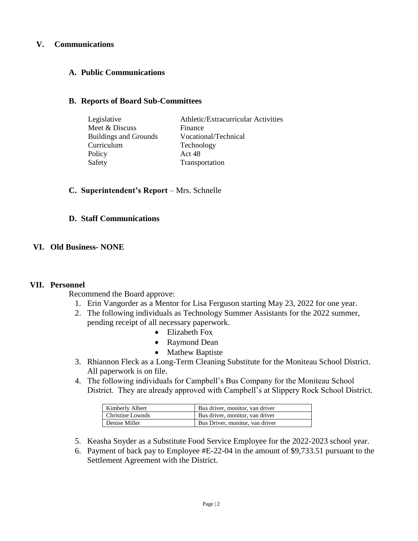### **V. Communications**

## **A. Public Communications**

#### **B. Reports of Board Sub-Committees**

| Legislative                  | Athletic/Extracurricular Activities |
|------------------------------|-------------------------------------|
| Meet & Discuss               | Finance                             |
| <b>Buildings and Grounds</b> | Vocational/Technical                |
| Curriculum                   | Technology                          |
| Policy                       | Act 48                              |
| Safety                       | Transportation                      |

### **C. Superintendent's Report** – Mrs. Schnelle

#### **D. Staff Communications**

### **VI. Old Business- NONE**

#### **VII. Personnel**

Recommend the Board approve:

- 1. Erin Vangorder as a Mentor for Lisa Ferguson starting May 23, 2022 for one year.
- 2. The following individuals as Technology Summer Assistants for the 2022 summer, pending receipt of all necessary paperwork.
	- Elizabeth Fox
	- Raymond Dean
	- Mathew Baptiste
- 3. Rhiannon Fleck as a Long-Term Cleaning Substitute for the Moniteau School District. All paperwork is on file.
- 4. The following individuals for Campbell's Bus Company for the Moniteau School District. They are already approved with Campbell's at Slippery Rock School District.

| Kimberly Albert  | Bus driver, monitor, van driver |
|------------------|---------------------------------|
| Christine Lownds | Bus driver, monitor, van driver |
| Denise Miller    | Bus Driver, monitor, van driver |

- 5. Keasha Snyder as a Substitute Food Service Employee for the 2022-2023 school year.
- 6. Payment of back pay to Employee #E-22-04 in the amount of \$9,733.51 pursuant to the Settlement Agreement with the District.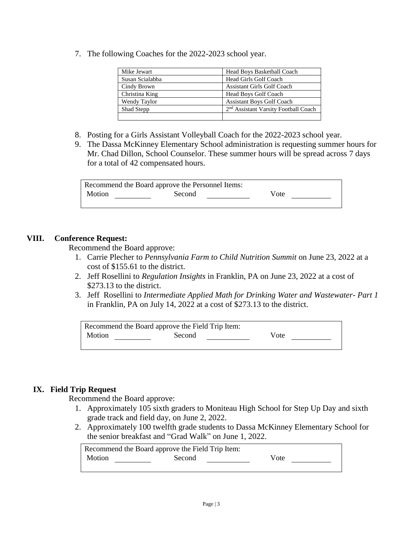7. The following Coaches for the 2022-2023 school year.

| Mike Jewart     | Head Boys Basketball Coach                       |
|-----------------|--------------------------------------------------|
| Susan Scialabba | Head Girls Golf Coach                            |
| Cindy Brown     | <b>Assistant Girls Golf Coach</b>                |
| Christina King  | <b>Head Boys Golf Coach</b>                      |
| Wendy Taylor    | <b>Assistant Boys Golf Coach</b>                 |
| Shad Stepp      | 2 <sup>nd</sup> Assistant Varsity Football Coach |
|                 |                                                  |

- 8. Posting for a Girls Assistant Volleyball Coach for the 2022-2023 school year.
- 9. The Dassa McKinney Elementary School administration is requesting summer hours for Mr. Chad Dillon, School Counselor. These summer hours will be spread across 7 days for a total of 42 compensated hours.

|        | Recommend the Board approve the Personnel Items: |      |
|--------|--------------------------------------------------|------|
| Motion | Second                                           | Vote |
|        |                                                  |      |

#### **VIII. Conference Request:**

Recommend the Board approve:

- 1. Carrie Plecher to *Pennsylvania Farm to Child Nutrition Summit* on June 23, 2022 at a cost of \$155.61 to the district.
- 2. Jeff Rosellini to *Regulation Insights* in Franklin, PA on June 23, 2022 at a cost of \$273.13 to the district.
- 3. Jeff Rosellini to *Intermediate Applied Math for Drinking Water and Wastewater- Part 1* in Franklin, PA on July 14, 2022 at a cost of \$273.13 to the district.

| Recommend the Board approve the Field Trip Item: |        |      |
|--------------------------------------------------|--------|------|
| Motion                                           | Second | Vote |

### **IX. Field Trip Request**

Recommend the Board approve:

- 1. Approximately 105 sixth graders to Moniteau High School for Step Up Day and sixth grade track and field day, on June 2, 2022.
- 2. Approximately 100 twelfth grade students to Dassa McKinney Elementary School for the senior breakfast and "Grad Walk" on June 1, 2022.

|        | Recommend the Board approve the Field Trip Item: |      |
|--------|--------------------------------------------------|------|
| Motion | Second                                           | Vote |
|        |                                                  |      |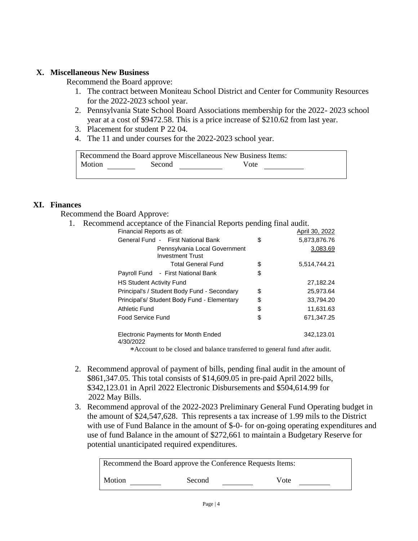### **X. Miscellaneous New Business**

Recommend the Board approve:

- 1. The contract between Moniteau School District and Center for Community Resources for the 2022-2023 school year.
- 2. Pennsylvania State School Board Associations membership for the 2022- 2023 school year at a cost of \$9472.58. This is a price increase of \$210.62 from last year.
- 3. Placement for student P 22 04.
- 4. The 11 and under courses for the 2022-2023 school year.

|        | Recommend the Board approve Miscellaneous New Business Items: |      |
|--------|---------------------------------------------------------------|------|
| Motion | Second                                                        | Vote |

## **XI. Finances**

Recommend the Board Approve:

1. Recommend acceptance of the Financial Reports pending final audit.

| Financial Reports as of:                                 | April 30, 2022     |
|----------------------------------------------------------|--------------------|
| General Fund - First National Bank                       | \$<br>5,873,876.76 |
| Pennsylvania Local Government<br><b>Investment Trust</b> | 3,083.69           |
| <b>Total General Fund</b>                                | \$<br>5,514,744.21 |
| Payroll Fund - First National Bank                       | \$                 |
| <b>HS Student Activity Fund</b>                          | 27,182.24          |
| Principal's / Student Body Fund - Secondary              | \$<br>25,973.64    |
| Principal's/ Student Body Fund - Elementary              | \$<br>33,794.20    |
| Athletic Fund                                            | \$<br>11,631.63    |
| Food Service Fund                                        | \$<br>671,347.25   |
| Electronic Payments for Month Ended<br>4/30/2022         | 342,123.01         |

\*Account to be closed and balance transferred to general fund after audit.

- 2. Recommend approval of payment of bills, pending final audit in the amount of \$861,347.05. This total consists of \$14,609.05 in pre-paid April 2022 bills, \$342,123.01 in April 2022 Electronic Disbursements and \$504,614.99 for 2022 May Bills.
- 3. Recommend approval of the 2022-2023 Preliminary General Fund Operating budget in the amount of \$24,547,628. This represents a tax increase of 1.99 mils to the District with use of Fund Balance in the amount of \$-0- for on-going operating expenditures and use of fund Balance in the amount of \$272,661 to maintain a Budgetary Reserve for potential unanticipated required expenditures.

|        | Recommend the Board approve the Conference Requests Items: |      |
|--------|------------------------------------------------------------|------|
| Motion | Second                                                     | Vote |